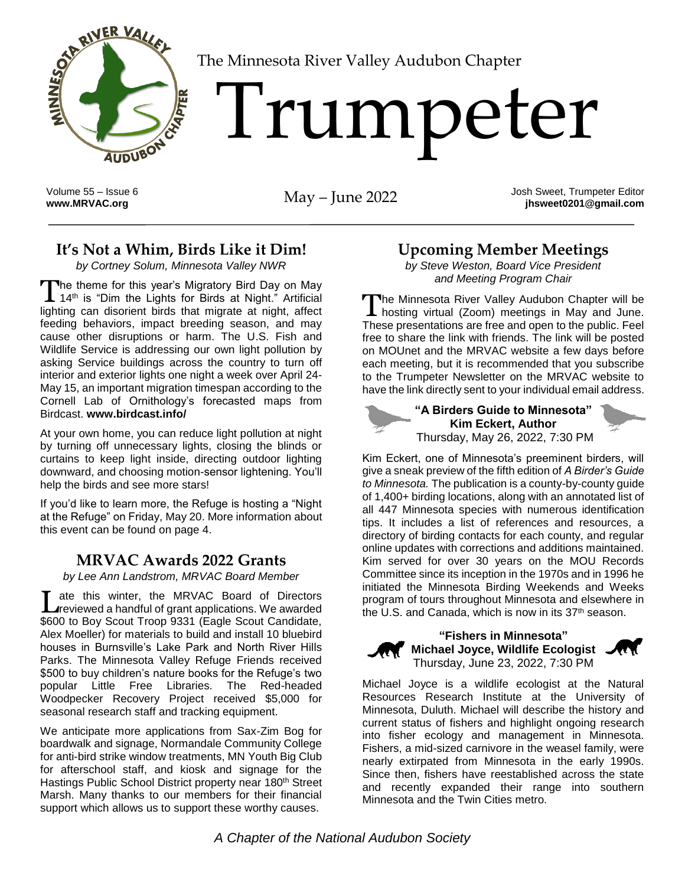

[T](http://www.MRVAC.org)he Minnesota River Valley Audubon Chapter

# Trumpeter

Volume 55 – Issue 6

**[www.MRVAC.org](http://www.mrvac.org/)** May – June 2022 Josh Sweet, Trumpeter Editor **jhsweet0201@gmail.com**

# **It's Not a Whim, Birds Like it Dim!**

*by Cortney Solum, Minnesota Valley NWR*

The theme for this year's Migratory Bird Day on May The theme for this year's Migratory Bird Day on May<br>14<sup>th</sup> is "Dim the Lights for Birds at Night." Artificial lighting can disorient birds that migrate at night, affect feeding behaviors, impact breeding season, and may cause other disruptions or harm. The U.S. Fish and Wildlife Service is addressing our own light pollution by asking Service buildings across the country to turn off interior and exterior lights one night a week over April 24- May 15, an important migration timespan according to the Cornell Lab of Ornithology's forecasted maps from Birdcast. **[www.birdcast.info/](http://www.birdcast.info/)**

At your own home, you can reduce light pollution at night by turning off unnecessary lights, closing the blinds or curtains to keep light inside, directing outdoor lighting downward, and choosing motion-sensor lightening. You'll help the birds and see more stars!

If you'd like to learn more, the Refuge is hosting a "Night at the Refuge" on Friday, May 20. More information about this event can be found on page 4.

### **MRVAC Awards 2022 Grants**

*by Lee Ann Landstrom, MRVAC Board Member*

ate this winter, the MRVAC Board of Directors Late this winter, the MRVAC Board of Directors<br>
Interviewed a handful of grant applications. We awarded \$600 to Boy Scout Troop 9331 (Eagle Scout Candidate, Alex Moeller) for materials to build and install 10 bluebird houses in Burnsville's Lake Park and North River Hills Parks. The Minnesota Valley Refuge Friends received \$500 to buy children's nature books for the Refuge's two popular Little Free Libraries. The Red-headed Woodpecker Recovery Project received \$5,000 for seasonal research staff and tracking equipment.

We anticipate more applications from Sax-Zim Bog for boardwalk and signage, Normandale Community College for anti-bird strike window treatments, MN Youth Big Club for afterschool staff, and kiosk and signage for the Hastings Public School District property near 180th Street Marsh. Many thanks to our members for their financial support which allows us to support these worthy causes.

## **Upcoming Member Meetings**

*by Steve Weston, Board Vice President and Meeting Program Chair*

he Minnesota River Valley Audubon Chapter will be The Minnesota River Valley Audubon Chapter will be<br>hosting virtual (Zoom) meetings in May and June. These presentations are free and open to the public. Feel free to share the link with friends. The link will be posted on MOUnet and the MRVAC website a few days before each meeting, but it is recommended that you subscribe to the Trumpeter Newsletter on the MRVAC website to have the link directly sent to your individual email address.



**"A Birders Guide to Minnesota" Kim Eckert, Author** Thursday, May 26, 2022, 7:30 PM



Kim Eckert, one of Minnesota's preeminent birders, will give a sneak preview of the fifth edition of *A Birder's Guide to Minnesota.* The publication is a county-by-county guide of 1,400+ birding locations, along with an annotated list of all 447 Minnesota species with numerous identification tips. It includes a list of references and resources, a directory of birding contacts for each county, and regular online updates with corrections and additions maintained. Kim served for over 30 years on the MOU Records Committee since its inception in the 1970s and in 1996 he initiated the Minnesota Birding Weekends and Weeks program of tours throughout Minnesota and elsewhere in the U.S. and Canada, which is now in its  $37<sup>th</sup>$  season.



**"Fishers in Minnesota" Michael Joyce, Wildlife Ecologist** Thursday, June 23, 2022, 7:30 PM



Michael Joyce is a wildlife ecologist at the Natural Resources Research Institute at the University of Minnesota, Duluth. Michael will describe the history and current status of fishers and highlight ongoing research into fisher ecology and management in Minnesota. Fishers, a mid-sized carnivore in the weasel family, were nearly extirpated from Minnesota in the early 1990s. Since then, fishers have reestablished across the state and recently expanded their range into southern Minnesota and the Twin Cities metro.

*A Chapter of the National Audubon Society*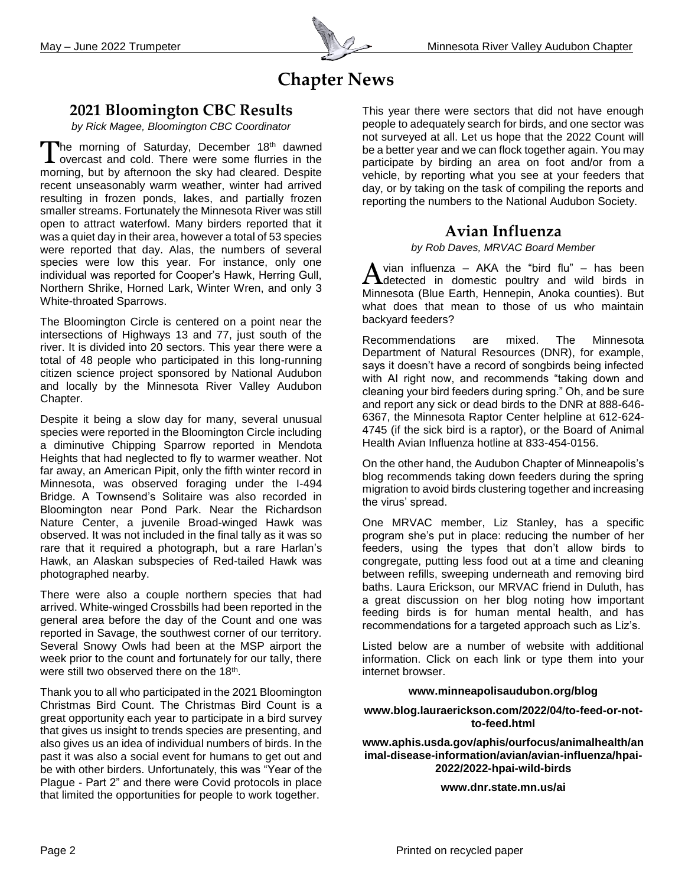

# **Chapter News**

#### **2021 Bloomington CBC Results**

*by Rick Magee, Bloomington CBC Coordinator*

The morning of Saturday, December 18th dawned The morning of Saturday, December 18th dawned<br>I overcast and cold. There were some flurries in the morning, but by afternoon the sky had cleared. Despite recent unseasonably warm weather, winter had arrived resulting in frozen ponds, lakes, and partially frozen smaller streams. Fortunately the Minnesota River was still open to attract waterfowl. Many birders reported that it was a quiet day in their area, however a total of 53 species were reported that day. Alas, the numbers of several species were low this year. For instance, only one individual was reported for Cooper's Hawk, Herring Gull, Northern Shrike, Horned Lark, Winter Wren, and only 3 White-throated Sparrows.

The Bloomington Circle is centered on a point near the intersections of Highways 13 and 77, just south of the river. It is divided into 20 sectors. This year there were a total of 48 people who participated in this long-running citizen science project sponsored by National Audubon and locally by the Minnesota River Valley Audubon Chapter.

Despite it being a slow day for many, several unusual species were reported in the Bloomington Circle including a diminutive Chipping Sparrow reported in Mendota Heights that had neglected to fly to warmer weather. Not far away, an American Pipit, only the fifth winter record in Minnesota, was observed foraging under the I-494 Bridge. A Townsend's Solitaire was also recorded in Bloomington near Pond Park. Near the Richardson Nature Center, a juvenile Broad-winged Hawk was observed. It was not included in the final tally as it was so rare that it required a photograph, but a rare Harlan's Hawk, an Alaskan subspecies of Red-tailed Hawk was photographed nearby.

There were also a couple northern species that had arrived. White-winged Crossbills had been reported in the general area before the day of the Count and one was reported in Savage, the southwest corner of our territory. Several Snowy Owls had been at the MSP airport the week prior to the count and fortunately for our tally, there were still two observed there on the 18<sup>th</sup>.

Thank you to all who participated in the 2021 Bloomington Christmas Bird Count. The Christmas Bird Count is a great opportunity each year to participate in a bird survey that gives us insight to trends species are presenting, and also gives us an idea of individual numbers of birds. In the past it was also a social event for humans to get out and be with other birders. Unfortunately, this was "Year of the Plague - Part 2" and there were Covid protocols in place that limited the opportunities for people to work together.

This year there were sectors that did not have enough people to adequately search for birds, and one sector was not surveyed at all. Let us hope that the 2022 Count will be a better year and we can flock together again. You may participate by birding an area on foot and/or from a vehicle, by reporting what you see at your feeders that day, or by taking on the task of compiling the reports and reporting the numbers to the National Audubon Society.

#### **Avian Influenza**

*by Rob Daves, MRVAC Board Member*

vian influenza – AKA the "bird flu" – has been  $\Delta$  vian influenza – AKA the "bird flu" – has been Minnesota (Blue Earth, Hennepin, Anoka counties). But what does that mean to those of us who maintain backyard feeders?

Recommendations are mixed. The Minnesota Department of Natural Resources (DNR), for example, says it doesn't have a record of songbirds being infected with AI right now, and recommends "taking down and cleaning your bird feeders during spring." Oh, and be sure and report any sick or dead birds to the DNR at 888-646- 6367, the Minnesota Raptor Center helpline at 612-624- 4745 (if the sick bird is a raptor), or the Board of Animal Health Avian Influenza hotline at 833-454-0156.

On the other hand, the Audubon Chapter of Minneapolis's blog recommends taking down feeders during the spring migration to avoid birds clustering together and increasing the virus' spread.

One MRVAC member, Liz Stanley, has a specific program she's put in place: reducing the number of her feeders, using the types that don't allow birds to congregate, putting less food out at a time and cleaning between refills, sweeping underneath and removing bird baths. Laura Erickson, our MRVAC friend in Duluth, has a great discussion on her blog noting how important feeding birds is for human mental health, and has recommendations for a targeted approach such as Liz's.

Listed below are a number of website with additional information. Click on each link or type them into your internet browser.

#### **[www.minneapolisaudubon.org/blog](http://www.minneapolisaudubon.org/blog)**

#### **[www.blog.lauraerickson.com/2022/04/to-feed-or-not](http://www.blog.lauraerickson.com/2022/04/to-feed-or-not-to-feed.html)[to-feed.html](http://www.blog.lauraerickson.com/2022/04/to-feed-or-not-to-feed.html)**

**[www.aphis.usda.gov/aphis/ourfocus/animalhealth/an](http://www.aphis.usda.gov/aphis/ourfocus/animalhealth/animal-disease-information/avian/avian-influenza/hpai-2022/2022-hpai-wild-birds) [imal-disease-information/avian/avian-influenza/hpai-](http://www.aphis.usda.gov/aphis/ourfocus/animalhealth/animal-disease-information/avian/avian-influenza/hpai-2022/2022-hpai-wild-birds)[2022/2022-hpai-wild-birds](http://www.aphis.usda.gov/aphis/ourfocus/animalhealth/animal-disease-information/avian/avian-influenza/hpai-2022/2022-hpai-wild-birds)**

**[www.dnr.state.mn.us/ai](http://www.dnr.state.mn.us/ai)**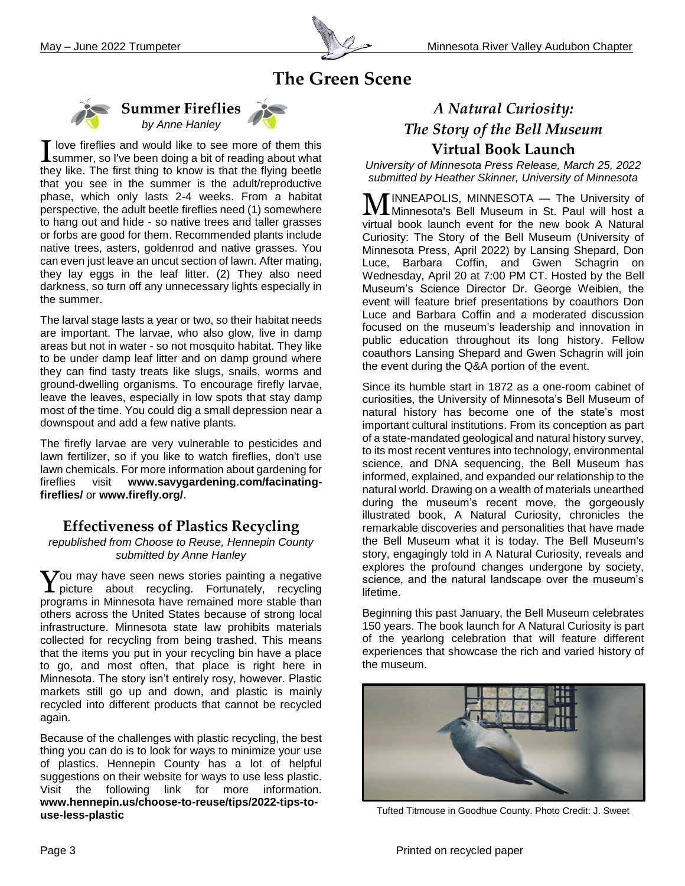

# **The Green Scene**



**Summer Fireflies** *by Anne Hanley*



The larval stage lasts a year or two, so their habitat needs are important. The larvae, who also glow, live in damp areas but not in water - so not mosquito habitat. They like to be under damp leaf litter and on damp ground where they can find tasty treats like slugs, snails, worms and ground-dwelling organisms. To encourage firefly larvae, leave the leaves, especially in low spots that stay damp most of the time. You could dig a small depression near a downspout and add a few native plants.

The firefly larvae are very vulnerable to pesticides and lawn fertilizer, so if you like to watch fireflies, don't use lawn chemicals. For more information about gardening for fireflies visit **[www.savygardening.com/facinating](http://www.savygardening.com/facinating-fireflies/)[fireflies/](http://www.savygardening.com/facinating-fireflies/)** or **[www.firefly.org/](http://www.firefly.org/)**.

#### **Effectiveness of Plastics Recycling**

*republished from Choose to Reuse, Hennepin County submitted by Anne Hanley*

 $\sum$ ou may have seen news stories painting a negative  $\boldsymbol{Y}$ ou may have seen news stories painting a negative picture about recycling. Fortunately, recycling programs in Minnesota have remained more stable than others across the United States because of strong local infrastructure. Minnesota state law prohibits materials collected for recycling from being trashed. This means that the items you put in your recycling bin have a place to go, and most often, that place is right here in Minnesota. The story isn't entirely rosy, however. Plastic markets still go up and down, and plastic is mainly recycled into different products that cannot be recycled again.

Because of the challenges with plastic recycling, the best thing you can do is to look for ways to minimize your use of plastics. Hennepin County has a lot of helpful suggestions on their website for ways to use less plastic. Visit the following link for more information. **[www.hennepin.us/choose-to-reuse/tips/2022-tips-to](http://www.hennepin.us/choose-to-reuse/tips/2022-tips-to-use-less-plastic)[use-less-plastic](http://www.hennepin.us/choose-to-reuse/tips/2022-tips-to-use-less-plastic)**

## *A Natural Curiosity: The Story of the Bell Museum* **Virtual Book Launch**

*University of Minnesota Press Release, March 25, 2022 submitted by Heather Skinner, University of Minnesota*

**MINNEAPOLIS, MINNESOTA** — The University of MINNESOTA — The University of Minnesota's Bell Museum in St. Paul will host a virtual book launch event for the new book A Natural Curiosity: The Story of the Bell Museum (University of Minnesota Press, April 2022) by Lansing Shepard, Don Luce, Barbara Coffin, and Gwen Schagrin on Wednesday, April 20 at 7:00 PM CT. Hosted by the Bell Museum's Science Director Dr. George Weiblen, the event will feature brief presentations by coauthors Don Luce and Barbara Coffin and a moderated discussion focused on the museum's leadership and innovation in public education throughout its long history. Fellow coauthors Lansing Shepard and Gwen Schagrin will join the event during the Q&A portion of the event.

Since its humble start in 1872 as a one-room cabinet of curiosities, the University of Minnesota's Bell Museum of natural history has become one of the state's most important cultural institutions. From its conception as part of a state-mandated geological and natural history survey, to its most recent ventures into technology, environmental science, and DNA sequencing, the Bell Museum has informed, explained, and expanded our relationship to the natural world. Drawing on a wealth of materials unearthed during the museum's recent move, the gorgeously illustrated book, A Natural Curiosity, chronicles the remarkable discoveries and personalities that have made the Bell Museum what it is today. The Bell Museum's story, engagingly told in A Natural Curiosity, reveals and explores the profound changes undergone by society, science, and the natural landscape over the museum's lifetime.

Beginning this past January, the Bell Museum celebrates 150 years. The book launch for A Natural Curiosity is part of the yearlong celebration that will feature different experiences that showcase the rich and varied history of the museum.



Tufted Titmouse in Goodhue County. Photo Credit: J. Sweet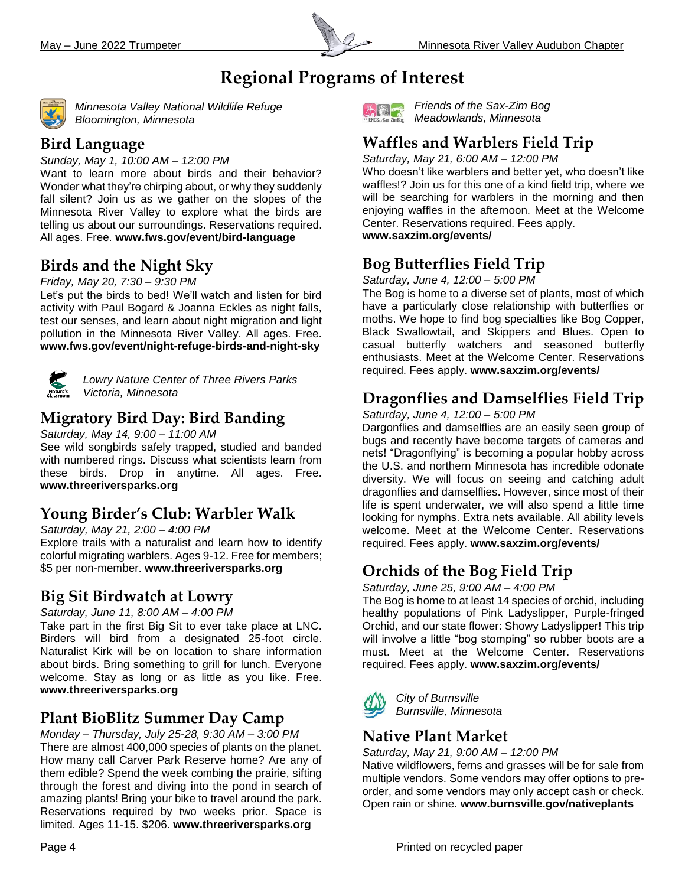

# **Regional Programs of Interest**



*Minnesota Valley National Wildlife Refuge Bloomington, Minnesota*

#### **Bird Language**

*Sunday, May 1, 10:00 AM – 12:00 PM*

Want to learn more about birds and their behavior? Wonder what they're chirping about, or why they suddenly fall silent? Join us as we gather on the slopes of the Minnesota River Valley to explore what the birds are telling us about our surroundings. Reservations required. All ages. Free. **www.fws.gov/event/bird-language**

## **Birds and the Night Sky**

*Friday, May 20, 7:30 – 9:30 PM*

Let's put the birds to bed! We'll watch and listen for bird activity with Paul Bogard & Joanna Eckles as night falls, test our senses, and learn about night migration and light pollution in the Minnesota River Valley. All ages. Free. **www.fws.gov/event/night-refuge-birds-and-night-sky**



*Lowry Nature Center of Three Rivers Parks Victoria, Minnesota*

# **Migratory Bird Day: Bird Banding**

*Saturday, May 14, 9:00 – 11:00 AM*

See wild songbirds safely trapped, studied and banded with numbered rings. Discuss what scientists learn from these birds. Drop in anytime. All ages. Free. **www.threeriversparks.org**

# **Young Birder's Club: Warbler Walk**

*Saturday, May 21, 2:00 – 4:00 PM* Explore trails with a naturalist and learn how to identify colorful migrating warblers. Ages 9-12. Free for members; \$5 per non-member. **www.threeriversparks.org**

### **Big Sit Birdwatch at Lowry**

#### *Saturday, June 11, 8:00 AM – 4:00 PM*

Take part in the first Big Sit to ever take place at LNC. Birders will bird from a designated 25-foot circle. Naturalist Kirk will be on location to share information about birds. Bring something to grill for lunch. Everyone welcome. Stay as long or as little as you like. Free. **www.threeriversparks.org**

### **Plant BioBlitz Summer Day Camp**

*Monday – Thursday, July 25-28, 9:30 AM – 3:00 PM*  There are almost 400,000 species of plants on the planet. How many call Carver Park Reserve home? Are any of them edible? Spend the week combing the prairie, sifting through the forest and diving into the pond in search of amazing plants! Bring your bike to travel around the park. Reservations required by two weeks prior. Space is limited. Ages 11-15. \$206. **www.threeriversparks.org**



*Friends of the Sax-Zim Bog Meadowlands, Minnesota*

## **Waffles and Warblers Field Trip**

*Saturday, May 21, 6:00 AM – 12:00 PM*

Who doesn't like warblers and better yet, who doesn't like waffles!? Join us for this one of a kind field trip, where we will be searching for warblers in the morning and then enjoying waffles in the afternoon. Meet at the Welcome Center. Reservations required. Fees apply.

**www.saxzim.org/events/** 

# **Bog Butterflies Field Trip**

*Saturday, June 4, 12:00 – 5:00 PM*

The Bog is home to a diverse set of plants, most of which have a particularly close relationship with butterflies or moths. We hope to find bog specialties like Bog Copper, Black Swallowtail, and Skippers and Blues. Open to casual butterfly watchers and seasoned butterfly enthusiasts. Meet at the Welcome Center. Reservations required. Fees apply. **www.saxzim.org/events/** 

# **Dragonflies and Damselflies Field Trip**

#### *Saturday, June 4, 12:00 – 5:00 PM*

Dargonflies and damselflies are an easily seen group of bugs and recently have become targets of cameras and nets! "Dragonflying" is becoming a popular hobby across the U.S. and northern Minnesota has incredible odonate diversity. We will focus on seeing and catching adult dragonflies and damselflies. However, since most of their life is spent underwater, we will also spend a little time looking for nymphs. Extra nets available. All ability levels welcome. Meet at the Welcome Center. Reservations required. Fees apply. **www.saxzim.org/events/** 

# **Orchids of the Bog Field Trip**

*Saturday, June 25, 9:00 AM – 4:00 PM*

The Bog is home to at least 14 species of orchid, including healthy populations of Pink Ladyslipper, Purple-fringed Orchid, and our state flower: Showy Ladyslipper! This trip will involve a little "bog stomping" so rubber boots are a must. Meet at the Welcome Center. Reservations required. Fees apply. **www.saxzim.org/events/** 



*City of Burnsville Burnsville, Minnesota*

# **Native Plant Market**

*Saturday, May 21, 9:00 AM – 12:00 PM* Native wildflowers, ferns and grasses will be for sale from multiple vendors. Some vendors may offer options to pre-

order, and some vendors may only accept cash or check. Open rain or shine. **www.burnsville.gov/nativeplants**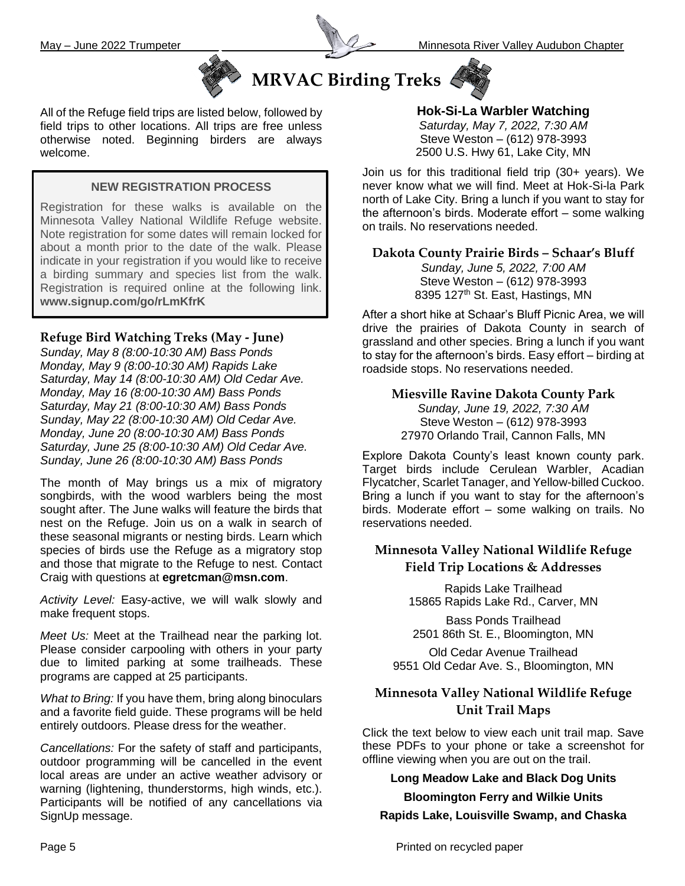



# **MRVAC Birding Treks**



All of the Refuge field trips are listed below, followed by field trips to other locations. All trips are free unless otherwise noted. Beginning birders are always welcome.

#### **NEW REGISTRATION PROCESS**

Registration for these walks is available on the Minnesota Valley National Wildlife Refuge website. Note registration for some dates will remain locked for about a month prior to the date of the walk. Please indicate in your registration if you would like to receive a birding summary and species list from the walk. Registration is required online at the following link. **[www.signup.com/go/rLmKfrK](http://www.signup.com/go/rLmKfrK)**

#### **Refuge Bird Watching Treks (May - June)**

*Sunday, May 8 (8:00-10:30 AM) Bass Ponds Monday, May 9 (8:00-10:30 AM) Rapids Lake Saturday, May 14 (8:00-10:30 AM) Old Cedar Ave. Monday, May 16 (8:00-10:30 AM) Bass Ponds Saturday, May 21 (8:00-10:30 AM) Bass Ponds Sunday, May 22 (8:00-10:30 AM) Old Cedar Ave. Monday, June 20 (8:00-10:30 AM) Bass Ponds Saturday, June 25 (8:00-10:30 AM) Old Cedar Ave. Sunday, June 26 (8:00-10:30 AM) Bass Ponds*

The month of May brings us a mix of migratory songbirds, with the wood warblers being the most sought after. The June walks will feature the birds that nest on the Refuge. Join us on a walk in search of these seasonal migrants or nesting birds. Learn which species of birds use the Refuge as a migratory stop and those that migrate to the Refuge to nest. Contact Craig with questions at **[egretcman@msn.com](mailto:egretcman@msn.com)**.

*Activity Level:* Easy-active, we will walk slowly and make frequent stops.

*Meet Us:* Meet at the Trailhead near the parking lot. Please consider carpooling with others in your party due to limited parking at some trailheads. These programs are capped at 25 participants.

*What to Bring:* If you have them, bring along binoculars and a favorite field guide. These programs will be held entirely outdoors. Please dress for the weather.

*Cancellations:* For the safety of staff and participants, outdoor programming will be cancelled in the event local areas are under an active weather advisory or warning (lightening, thunderstorms, high winds, etc.). Participants will be notified of any cancellations via SignUp message.

**Hok-Si-La Warbler Watching** *Saturday, May 7, 2022, 7:30 AM* Steve Weston – (612) 978-3993 2500 U.S. Hwy 61, Lake City, MN

Join us for this traditional field trip (30+ years). We never know what we will find. Meet at Hok-Si-la Park north of Lake City. Bring a lunch if you want to stay for the afternoon's birds. Moderate effort – some walking on trails. No reservations needed.

**Dakota County Prairie Birds – Schaar's Bluff** *Sunday, June 5, 2022, 7:00 AM*

Steve Weston – (612) 978-3993 8395 127<sup>th</sup> St. East, Hastings, MN

After a short hike at Schaar's Bluff Picnic Area, we will drive the prairies of Dakota County in search of grassland and other species. Bring a lunch if you want to stay for the afternoon's birds. Easy effort – birding at roadside stops. No reservations needed.

**Miesville Ravine Dakota County Park** *Sunday, June 19, 2022, 7:30 AM* Steve Weston – (612) 978-3993 27970 Orlando Trail, Cannon Falls, MN

Explore Dakota County's least known county park. Target birds include Cerulean Warbler, Acadian Flycatcher, Scarlet Tanager, and Yellow-billed Cuckoo. Bring a lunch if you want to stay for the afternoon's birds. Moderate effort – some walking on trails. No reservations needed.

#### **Minnesota Valley National Wildlife Refuge Field Trip Locations & Addresses**

Rapids Lake Trailhead 15865 Rapids Lake Rd., Carver, MN

Bass Ponds Trailhead 2501 86th St. E., Bloomington, MN

Old Cedar Avenue Trailhead 9551 Old Cedar Ave. S., Bloomington, MN

#### **Minnesota Valley National Wildlife Refuge Unit Trail Maps**

Click the text below to view each unit trail map. Save these PDFs to your phone or take a screenshot for offline viewing when you are out on the trail.

#### **[Long Meadow Lake and Black Dog Units](https://www.fws.gov/uploadedFiles/Long-Meadow-Black-Dog-Aug-2019.pdf)**

**[Bloomington Ferry and Wilkie Units](https://www.fws.gov/uploadedFiles/Bloomington-Ferry-Wilkie-2019.pdf) [Rapids Lake, Louisville Swamp, and Chaska](https://www.fws.gov/uploadedFiles/Rapids-Lake-Louisville-Swamp-Chaska-Aug-2019.pdf)**